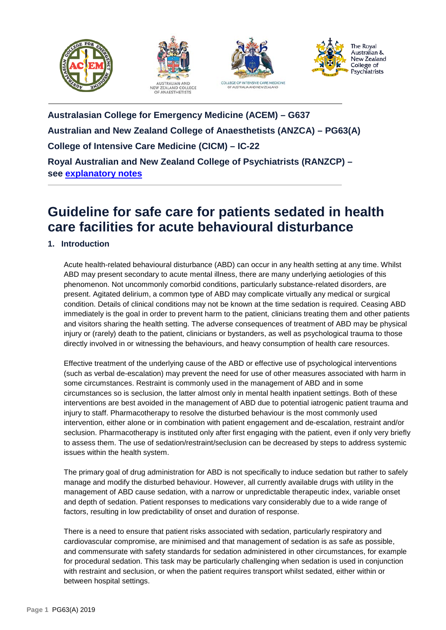







**Australasian College for Emergency Medicine (ACEM) – G637 Australian and New Zealand College of Anaesthetists (ANZCA) – PG63(A) College of Intensive Care Medicine (CICM) – IC-22 Royal Australian and New Zealand College of Psychiatrists (RANZCP) – see [explanatory notes](https://www.ranzcp.org/practice-education/guidelines-and-resources-for-practice)**

# **Guideline for safe care for patients sedated in health care facilities for acute behavioural disturbance**

# **1. Introduction**

Acute health-related behavioural disturbance (ABD) can occur in any health setting at any time. Whilst ABD may present secondary to acute mental illness, there are many underlying aetiologies of this phenomenon. Not uncommonly comorbid conditions, particularly substance-related disorders, are present. Agitated delirium, a common type of ABD may complicate virtually any medical or surgical condition. Details of clinical conditions may not be known at the time sedation is required. Ceasing ABD immediately is the goal in order to prevent harm to the patient, clinicians treating them and other patients and visitors sharing the health setting. The adverse consequences of treatment of ABD may be physical injury or (rarely) death to the patient, clinicians or bystanders, as well as psychological trauma to those directly involved in or witnessing the behaviours, and heavy consumption of health care resources.

Effective treatment of the underlying cause of the ABD or effective use of psychological interventions (such as verbal de-escalation) may prevent the need for use of other measures associated with harm in some circumstances. Restraint is commonly used in the management of ABD and in some circumstances so is seclusion, the latter almost only in mental health inpatient settings. Both of these interventions are best avoided in the management of ABD due to potential iatrogenic patient trauma and injury to staff. Pharmacotherapy to resolve the disturbed behaviour is the most commonly used intervention, either alone or in combination with patient engagement and de-escalation, restraint and/or seclusion. Pharmacotherapy is instituted only after first engaging with the patient, even if only very briefly to assess them. The use of sedation/restraint/seclusion can be decreased by steps to address systemic issues within the health system.

The primary goal of drug administration for ABD is not specifically to induce sedation but rather to safely manage and modify the disturbed behaviour. However, all currently available drugs with utility in the management of ABD cause sedation, with a narrow or unpredictable therapeutic index, variable onset and depth of sedation. Patient responses to medications vary considerably due to a wide range of factors, resulting in low predictability of onset and duration of response.

There is a need to ensure that patient risks associated with sedation, particularly respiratory and cardiovascular compromise, are minimised and that management of sedation is as safe as possible, and commensurate with safety standards for sedation administered in other circumstances, for example for procedural sedation. This task may be particularly challenging when sedation is used in conjunction with restraint and seclusion, or when the patient requires transport whilst sedated, either within or between hospital settings.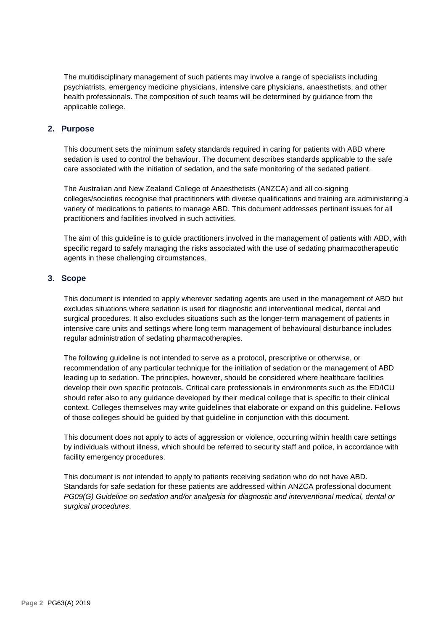The multidisciplinary management of such patients may involve a range of specialists including psychiatrists, emergency medicine physicians, intensive care physicians, anaesthetists, and other health professionals. The composition of such teams will be determined by guidance from the applicable college.

## **2. Purpose**

This document sets the minimum safety standards required in caring for patients with ABD where sedation is used to control the behaviour. The document describes standards applicable to the safe care associated with the initiation of sedation, and the safe monitoring of the sedated patient.

The Australian and New Zealand College of Anaesthetists (ANZCA) and all co-signing colleges/societies recognise that practitioners with diverse qualifications and training are administering a variety of medications to patients to manage ABD. This document addresses pertinent issues for all practitioners and facilities involved in such activities.

The aim of this guideline is to guide practitioners involved in the management of patients with ABD, with specific regard to safely managing the risks associated with the use of sedating pharmacotherapeutic agents in these challenging circumstances.

# **3. Scope**

This document is intended to apply wherever sedating agents are used in the management of ABD but excludes situations where sedation is used for diagnostic and interventional medical, dental and surgical procedures. It also excludes situations such as the longer-term management of patients in intensive care units and settings where long term management of behavioural disturbance includes regular administration of sedating pharmacotherapies.

The following guideline is not intended to serve as a protocol, prescriptive or otherwise, or recommendation of any particular technique for the initiation of sedation or the management of ABD leading up to sedation. The principles, however, should be considered where healthcare facilities develop their own specific protocols. Critical care professionals in environments such as the ED/ICU should refer also to any guidance developed by their medical college that is specific to their clinical context. Colleges themselves may write guidelines that elaborate or expand on this guideline. Fellows of those colleges should be guided by that guideline in conjunction with this document.

This document does not apply to acts of aggression or violence, occurring within health care settings by individuals without illness, which should be referred to security staff and police, in accordance with facility emergency procedures.

This document is not intended to apply to patients receiving sedation who do not have ABD. Standards for safe sedation for these patients are addressed within ANZCA professional document *PG09(G) Guideline on sedation and/or analgesia for diagnostic and interventional medical, dental or surgical procedures*.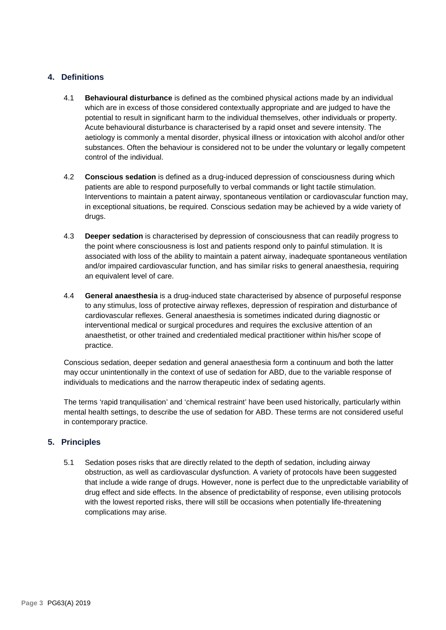# **4. Definitions**

- 4.1 **Behavioural disturbance** is defined as the combined physical actions made by an individual which are in excess of those considered contextually appropriate and are judged to have the potential to result in significant harm to the individual themselves, other individuals or property. Acute behavioural disturbance is characterised by a rapid onset and severe intensity. The aetiology is commonly a mental disorder, physical illness or intoxication with alcohol and/or other substances. Often the behaviour is considered not to be under the voluntary or legally competent control of the individual.
- 4.2 **Conscious sedation** is defined as a drug-induced depression of consciousness during which patients are able to respond purposefully to verbal commands or light tactile stimulation. Interventions to maintain a patent airway, spontaneous ventilation or cardiovascular function may, in exceptional situations, be required. Conscious sedation may be achieved by a wide variety of drugs.
- 4.3 **Deeper sedation** is characterised by depression of consciousness that can readily progress to the point where consciousness is lost and patients respond only to painful stimulation. It is associated with loss of the ability to maintain a patent airway, inadequate spontaneous ventilation and/or impaired cardiovascular function, and has similar risks to general anaesthesia, requiring an equivalent level of care.
- 4.4 **General anaesthesia** is a drug-induced state characterised by absence of purposeful response to any stimulus, loss of protective airway reflexes, depression of respiration and disturbance of cardiovascular reflexes. General anaesthesia is sometimes indicated during diagnostic or interventional medical or surgical procedures and requires the exclusive attention of an anaesthetist, or other trained and credentialed medical practitioner within his/her scope of practice.

Conscious sedation, deeper sedation and general anaesthesia form a continuum and both the latter may occur unintentionally in the context of use of sedation for ABD, due to the variable response of individuals to medications and the narrow therapeutic index of sedating agents.

The terms 'rapid tranquilisation' and 'chemical restraint' have been used historically, particularly within mental health settings, to describe the use of sedation for ABD. These terms are not considered useful in contemporary practice.

# **5. Principles**

5.1 Sedation poses risks that are directly related to the depth of sedation, including airway obstruction, as well as cardiovascular dysfunction. A variety of protocols have been suggested that include a wide range of drugs. However, none is perfect due to the unpredictable variability of drug effect and side effects. In the absence of predictability of response, even utilising protocols with the lowest reported risks, there will still be occasions when potentially life-threatening complications may arise.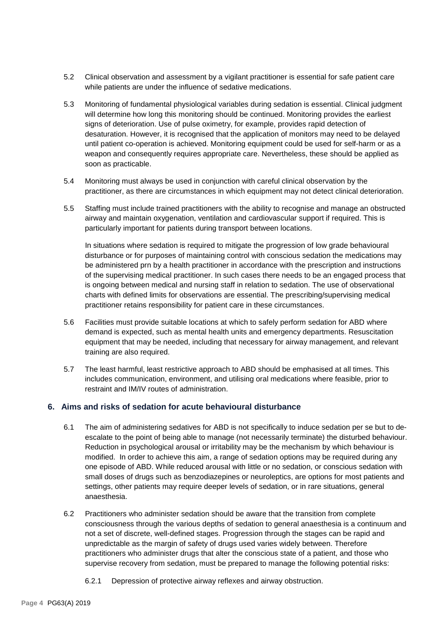- 5.2 Clinical observation and assessment by a vigilant practitioner is essential for safe patient care while patients are under the influence of sedative medications.
- 5.3 Monitoring of fundamental physiological variables during sedation is essential. Clinical judgment will determine how long this monitoring should be continued. Monitoring provides the earliest signs of deterioration. Use of pulse oximetry, for example, provides rapid detection of desaturation. However, it is recognised that the application of monitors may need to be delayed until patient co-operation is achieved. Monitoring equipment could be used for self-harm or as a weapon and consequently requires appropriate care. Nevertheless, these should be applied as soon as practicable.
- 5.4 Monitoring must always be used in conjunction with careful clinical observation by the practitioner, as there are circumstances in which equipment may not detect clinical deterioration.
- 5.5 Staffing must include trained practitioners with the ability to recognise and manage an obstructed airway and maintain oxygenation, ventilation and cardiovascular support if required. This is particularly important for patients during transport between locations.

In situations where sedation is required to mitigate the progression of low grade behavioural disturbance or for purposes of maintaining control with conscious sedation the medications may be administered prn by a health practitioner in accordance with the prescription and instructions of the supervising medical practitioner. In such cases there needs to be an engaged process that is ongoing between medical and nursing staff in relation to sedation. The use of observational charts with defined limits for observations are essential. The prescribing/supervising medical practitioner retains responsibility for patient care in these circumstances.

- 5.6 Facilities must provide suitable locations at which to safely perform sedation for ABD where demand is expected, such as mental health units and emergency departments. Resuscitation equipment that may be needed, including that necessary for airway management, and relevant training are also required.
- 5.7 The least harmful, least restrictive approach to ABD should be emphasised at all times. This includes communication, environment, and utilising oral medications where feasible, prior to restraint and IM/IV routes of administration.

# **6. Aims and risks of sedation for acute behavioural disturbance**

- 6.1 The aim of administering sedatives for ABD is not specifically to induce sedation per se but to deescalate to the point of being able to manage (not necessarily terminate) the disturbed behaviour. Reduction in psychological arousal or irritability may be the mechanism by which behaviour is modified. In order to achieve this aim, a range of sedation options may be required during any one episode of ABD. While reduced arousal with little or no sedation, or conscious sedation with small doses of drugs such as benzodiazepines or neuroleptics, are options for most patients and settings, other patients may require deeper levels of sedation, or in rare situations, general anaesthesia.
- 6.2 Practitioners who administer sedation should be aware that the transition from complete consciousness through the various depths of sedation to general anaesthesia is a continuum and not a set of discrete, well-defined stages. Progression through the stages can be rapid and unpredictable as the margin of safety of drugs used varies widely between. Therefore practitioners who administer drugs that alter the conscious state of a patient, and those who supervise recovery from sedation, must be prepared to manage the following potential risks:
	- 6.2.1 Depression of protective airway reflexes and airway obstruction.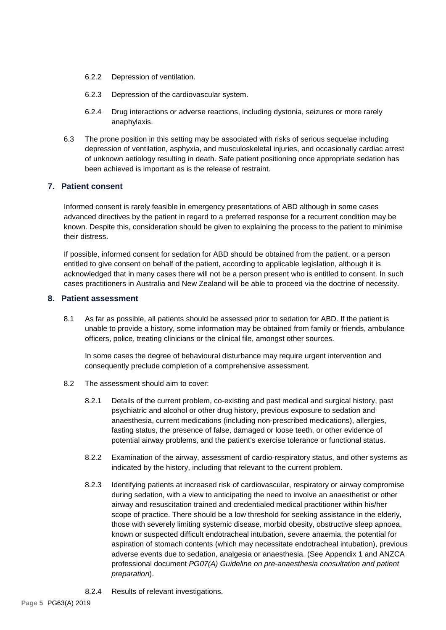- 6.2.2 Depression of ventilation.
- 6.2.3 Depression of the cardiovascular system.
- 6.2.4 Drug interactions or adverse reactions, including dystonia, seizures or more rarely anaphylaxis.
- 6.3 The prone position in this setting may be associated with risks of serious sequelae including depression of ventilation, asphyxia, and musculoskeletal injuries, and occasionally cardiac arrest of unknown aetiology resulting in death. Safe patient positioning once appropriate sedation has been achieved is important as is the release of restraint.

## **7. Patient consent**

Informed consent is rarely feasible in emergency presentations of ABD although in some cases advanced directives by the patient in regard to a preferred response for a recurrent condition may be known. Despite this, consideration should be given to explaining the process to the patient to minimise their distress.

If possible, informed consent for sedation for ABD should be obtained from the patient, or a person entitled to give consent on behalf of the patient, according to applicable legislation, although it is acknowledged that in many cases there will not be a person present who is entitled to consent. In such cases practitioners in Australia and New Zealand will be able to proceed via the doctrine of necessity.

#### **8. Patient assessment**

8.1 As far as possible, all patients should be assessed prior to sedation for ABD. If the patient is unable to provide a history, some information may be obtained from family or friends, ambulance officers, police, treating clinicians or the clinical file, amongst other sources.

In some cases the degree of behavioural disturbance may require urgent intervention and consequently preclude completion of a comprehensive assessment.

- 8.2 The assessment should aim to cover:
	- 8.2.1 Details of the current problem, co-existing and past medical and surgical history, past psychiatric and alcohol or other drug history, previous exposure to sedation and anaesthesia, current medications (including non-prescribed medications), allergies, fasting status, the presence of false, damaged or loose teeth, or other evidence of potential airway problems, and the patient's exercise tolerance or functional status.
	- 8.2.2 Examination of the airway, assessment of cardio-respiratory status, and other systems as indicated by the history, including that relevant to the current problem.
	- 8.2.3 Identifying patients at increased risk of cardiovascular, respiratory or airway compromise during sedation, with a view to anticipating the need to involve an anaesthetist or other airway and resuscitation trained and credentialed medical practitioner within his/her scope of practice. There should be a low threshold for seeking assistance in the elderly, those with severely limiting systemic disease, morbid obesity, obstructive sleep apnoea, known or suspected difficult endotracheal intubation, severe anaemia, the potential for aspiration of stomach contents (which may necessitate endotracheal intubation), previous adverse events due to sedation, analgesia or anaesthesia. (See Appendix 1 and ANZCA professional document *PG07(A) Guideline on pre-anaesthesia consultation and patient preparation*).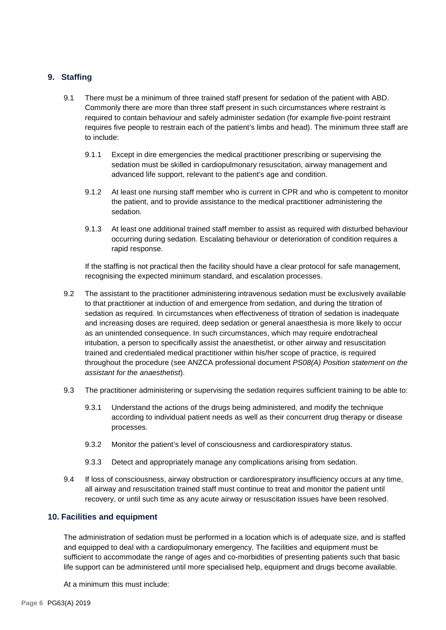# **9. Staffing**

- 9.1 There must be a minimum of three trained staff present for sedation of the patient with ABD. Commonly there are more than three staff present in such circumstances where restraint is required to contain behaviour and safely administer sedation (for example five-point restraint requires five people to restrain each of the patient's limbs and head). The minimum three staff are to include:
	- 9.1.1 Except in dire emergencies the medical practitioner prescribing or supervising the sedation must be skilled in cardiopulmonary resuscitation, airway management and advanced life support, relevant to the patient's age and condition.
	- 9.1.2 At least one nursing staff member who is current in CPR and who is competent to monitor the patient, and to provide assistance to the medical practitioner administering the sedation.
	- 9.1.3 At least one additional trained staff member to assist as required with disturbed behaviour occurring during sedation. Escalating behaviour or deterioration of condition requires a rapid response.

If the staffing is not practical then the facility should have a clear protocol for safe management, recognising the expected minimum standard, and escalation processes.

- 9.2 The assistant to the practitioner administering intravenous sedation must be exclusively available to that practitioner at induction of and emergence from sedation, and during the titration of sedation as required. In circumstances when effectiveness of titration of sedation is inadequate and increasing doses are required, deep sedation or general anaesthesia is more likely to occur as an unintended consequence. In such circumstances, which may require endotracheal intubation, a person to specifically assist the anaesthetist, or other airway and resuscitation trained and credentialed medical practitioner within his/her scope of practice, is required throughout the procedure (see ANZCA professional document *PS08(A) Position statement on the assistant for the anaesthetist*).
- 9.3 The practitioner administering or supervising the sedation requires sufficient training to be able to:
	- 9.3.1 Understand the actions of the drugs being administered, and modify the technique according to individual patient needs as well as their concurrent drug therapy or disease processes.
	- 9.3.2 Monitor the patient's level of consciousness and cardiorespiratory status.
	- 9.3.3 Detect and appropriately manage any complications arising from sedation.
- 9.4 If loss of consciousness, airway obstruction or cardiorespiratory insufficiency occurs at any time, all airway and resuscitation trained staff must continue to treat and monitor the patient until recovery, or until such time as any acute airway or resuscitation issues have been resolved.

#### **10. Facilities and equipment**

The administration of sedation must be performed in a location which is of adequate size, and is staffed and equipped to deal with a cardiopulmonary emergency. The facilities and equipment must be sufficient to accommodate the range of ages and co-morbidities of presenting patients such that basic life support can be administered until more specialised help, equipment and drugs become available.

At a minimum this must include: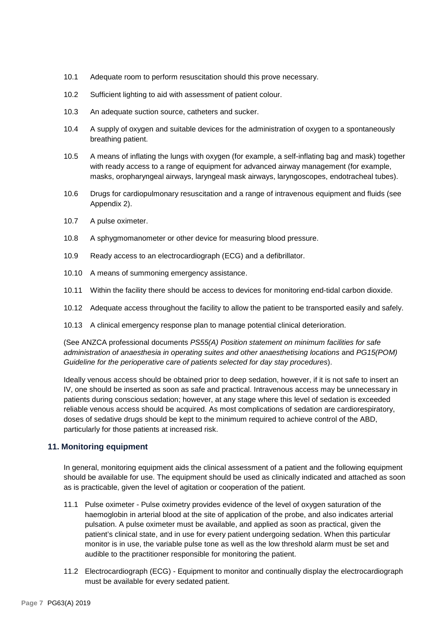- 10.1 Adequate room to perform resuscitation should this prove necessary.
- 10.2 Sufficient lighting to aid with assessment of patient colour.
- 10.3 An adequate suction source, catheters and sucker.
- 10.4 A supply of oxygen and suitable devices for the administration of oxygen to a spontaneously breathing patient.
- 10.5 A means of inflating the lungs with oxygen (for example, a self-inflating bag and mask) together with ready access to a range of equipment for advanced airway management (for example, masks, oropharyngeal airways, laryngeal mask airways, laryngoscopes, endotracheal tubes).
- 10.6 Drugs for cardiopulmonary resuscitation and a range of intravenous equipment and fluids (see Appendix 2).
- 10.7 A pulse oximeter.
- 10.8 A sphygmomanometer or other device for measuring blood pressure.
- 10.9 Ready access to an electrocardiograph (ECG) and a defibrillator.
- 10.10 A means of summoning emergency assistance.
- 10.11 Within the facility there should be access to devices for monitoring end-tidal carbon dioxide.
- 10.12 Adequate access throughout the facility to allow the patient to be transported easily and safely.
- 10.13 A clinical emergency response plan to manage potential clinical deterioration.

(See ANZCA professional documents *PS55(A) Position statement on minimum facilities for safe administration of anaesthesia in operating suites and other anaesthetising locations* and *PG15(POM) Guideline for the perioperative care of patients selected for day stay procedures*).

Ideally venous access should be obtained prior to deep sedation, however, if it is not safe to insert an IV, one should be inserted as soon as safe and practical. Intravenous access may be unnecessary in patients during conscious sedation; however, at any stage where this level of sedation is exceeded reliable venous access should be acquired. As most complications of sedation are cardiorespiratory, doses of sedative drugs should be kept to the minimum required to achieve control of the ABD, particularly for those patients at increased risk.

#### **11. Monitoring equipment**

In general, monitoring equipment aids the clinical assessment of a patient and the following equipment should be available for use. The equipment should be used as clinically indicated and attached as soon as is practicable, given the level of agitation or cooperation of the patient.

- 11.1 Pulse oximeter Pulse oximetry provides evidence of the level of oxygen saturation of the haemoglobin in arterial blood at the site of application of the probe, and also indicates arterial pulsation. A pulse oximeter must be available, and applied as soon as practical, given the patient's clinical state, and in use for every patient undergoing sedation. When this particular monitor is in use, the variable pulse tone as well as the low threshold alarm must be set and audible to the practitioner responsible for monitoring the patient.
- 11.2 Electrocardiograph (ECG) Equipment to monitor and continually display the electrocardiograph must be available for every sedated patient.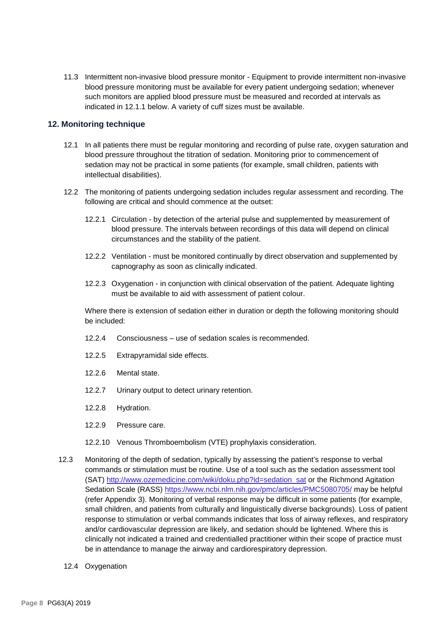11.3 Intermittent non-invasive blood pressure monitor - Equipment to provide intermittent non-invasive blood pressure monitoring must be available for every patient undergoing sedation; whenever such monitors are applied blood pressure must be measured and recorded at intervals as indicated in 12.1.1 below. A variety of cuff sizes must be available.

#### **12. Monitoring technique**

- 12.1 In all patients there must be regular monitoring and recording of pulse rate, oxygen saturation and blood pressure throughout the titration of sedation. Monitoring prior to commencement of sedation may not be practical in some patients (for example, small children, patients with intellectual disabilities).
- 12.2 The monitoring of patients undergoing sedation includes regular assessment and recording. The following are critical and should commence at the outset:
	- 12.2.1 Circulation by detection of the arterial pulse and supplemented by measurement of blood pressure. The intervals between recordings of this data will depend on clinical circumstances and the stability of the patient.
	- 12.2.2 Ventilation must be monitored continually by direct observation and supplemented by capnography as soon as clinically indicated.
	- 12.2.3 Oxygenation in conjunction with clinical observation of the patient. Adequate lighting must be available to aid with assessment of patient colour.

Where there is extension of sedation either in duration or depth the following monitoring should be included:

- 12.2.4 Consciousness use of sedation scales is recommended.
- 12.2.5 Extrapyramidal side effects.
- 12.2.6 Mental state.
- 12.2.7 Urinary output to detect urinary retention.
- 12.2.8 Hydration.
- 12.2.9 Pressure care.
- 12.2.10 Venous Thromboembolism (VTE) prophylaxis consideration.
- 12.3 Monitoring of the depth of sedation, typically by assessing the patient's response to verbal commands or stimulation must be routine. Use of a tool such as the sedation assessment tool (SAT) [http://www.ozemedicine.com/wiki/doku.php?id=sedation\\_sat](http://www.ozemedicine.com/wiki/doku.php?id=sedation_sat) or the Richmond Agitation Sedation Scale (RASS) <https://www.ncbi.nlm.nih.gov/pmc/articles/PMC5080705/> may be helpful (refer Appendix 3). Monitoring of verbal response may be difficult in some patients (for example, small children, and patients from culturally and linguistically diverse backgrounds). Loss of patient response to stimulation or verbal commands indicates that loss of airway reflexes, and respiratory and/or cardiovascular depression are likely, and sedation should be lightened. Where this is clinically not indicated a trained and credentialled practitioner within their scope of practice must be in attendance to manage the airway and cardiorespiratory depression.
	- 12.4 Oxygenation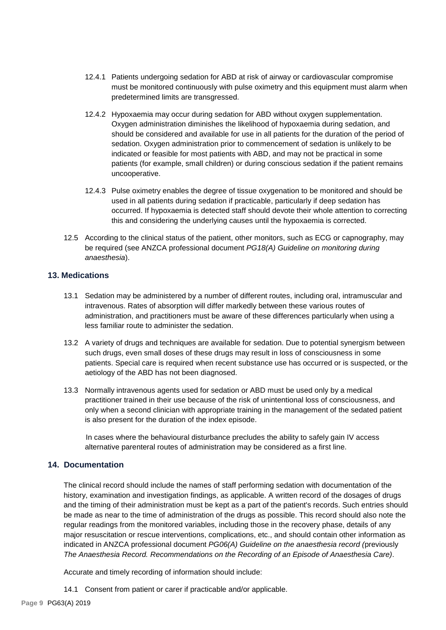- 12.4.1 Patients undergoing sedation for ABD at risk of airway or cardiovascular compromise must be monitored continuously with pulse oximetry and this equipment must alarm when predetermined limits are transgressed.
- 12.4.2 Hypoxaemia may occur during sedation for ABD without oxygen supplementation. Oxygen administration diminishes the likelihood of hypoxaemia during sedation, and should be considered and available for use in all patients for the duration of the period of sedation. Oxygen administration prior to commencement of sedation is unlikely to be indicated or feasible for most patients with ABD, and may not be practical in some patients (for example, small children) or during conscious sedation if the patient remains uncooperative.
- 12.4.3 Pulse oximetry enables the degree of tissue oxygenation to be monitored and should be used in all patients during sedation if practicable, particularly if deep sedation has occurred. If hypoxaemia is detected staff should devote their whole attention to correcting this and considering the underlying causes until the hypoxaemia is corrected.
- 12.5 According to the clinical status of the patient, other monitors, such as ECG or capnography, may be required (see ANZCA professional document *PG18(A) Guideline on monitoring during anaesthesia*).

#### **13. Medications**

- 13.1 Sedation may be administered by a number of different routes, including oral, intramuscular and intravenous. Rates of absorption will differ markedly between these various routes of administration, and practitioners must be aware of these differences particularly when using a less familiar route to administer the sedation.
- 13.2 A variety of drugs and techniques are available for sedation. Due to potential synergism between such drugs, even small doses of these drugs may result in loss of consciousness in some patients. Special care is required when recent substance use has occurred or is suspected, or the aetiology of the ABD has not been diagnosed.
- 13.3 Normally intravenous agents used for sedation or ABD must be used only by a medical practitioner trained in their use because of the risk of unintentional loss of consciousness, and only when a second clinician with appropriate training in the management of the sedated patient is also present for the duration of the index episode.

In cases where the behavioural disturbance precludes the ability to safely gain IV access alternative parenteral routes of administration may be considered as a first line.

#### **14. Documentation**

The clinical record should include the names of staff performing sedation with documentation of the history, examination and investigation findings, as applicable. A written record of the dosages of drugs and the timing of their administration must be kept as a part of the patient's records. Such entries should be made as near to the time of administration of the drugs as possible. This record should also note the regular readings from the monitored variables, including those in the recovery phase, details of any major resuscitation or rescue interventions, complications, etc., and should contain other information as indicated in ANZCA professional document *PG06(A) Guideline on the anaesthesia record (*previously *The Anaesthesia Record. Recommendations on the Recording of an Episode of Anaesthesia Care)*.

Accurate and timely recording of information should include:

14.1 Consent from patient or carer if practicable and/or applicable.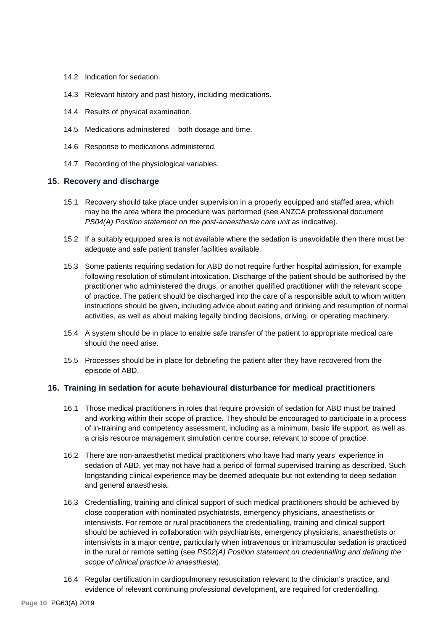- 14.2 Indication for sedation.
- 14.3 Relevant history and past history, including medications.
- 14.4 Results of physical examination.
- 14.5 Medications administered both dosage and time.
- 14.6 Response to medications administered.
- 14.7 Recording of the physiological variables.

#### **15. Recovery and discharge**

- 15.1 Recovery should take place under supervision in a properly equipped and staffed area, which may be the area where the procedure was performed (see ANZCA professional document *PS04(A) Position statement on the post-anaesthesia care unit* as indicative).
- 15.2 If a suitably equipped area is not available where the sedation is unavoidable then there must be adequate and safe patient transfer facilities available.
- 15.3 Some patients requiring sedation for ABD do not require further hospital admission, for example following resolution of stimulant intoxication. Discharge of the patient should be authorised by the practitioner who administered the drugs, or another qualified practitioner with the relevant scope of practice. The patient should be discharged into the care of a responsible adult to whom written instructions should be given, including advice about eating and drinking and resumption of normal activities, as well as about making legally binding decisions, driving, or operating machinery.
- 15.4 A system should be in place to enable safe transfer of the patient to appropriate medical care should the need arise.
- 15.5 Processes should be in place for debriefing the patient after they have recovered from the episode of ABD.

#### **16. Training in sedation for acute behavioural disturbance for medical practitioners**

- 16.1 Those medical practitioners in roles that require provision of sedation for ABD must be trained and working within their scope of practice. They should be encouraged to participate in a process of in-training and competency assessment, including as a minimum, basic life support, as well as a crisis resource management simulation centre course, relevant to scope of practice.
- 16.2 There are non-anaesthetist medical practitioners who have had many years' experience in sedation of ABD, yet may not have had a period of formal supervised training as described. Such longstanding clinical experience may be deemed adequate but not extending to deep sedation and general anaesthesia.
- 16.3 Credentialling, training and clinical support of such medical practitioners should be achieved by close cooperation with nominated psychiatrists, emergency physicians, anaesthetists or intensivists. For remote or rural practitioners the credentialling, training and clinical support should be achieved in collaboration with psychiatrists, emergency physicians, anaesthetists or intensivists in a major centre, particularly when intravenous or intramuscular sedation is practiced in the rural or remote setting (see *PS02(A) Position statement on credentialling and defining the scope of clinical practice in anaesthesia*).
- 16.4 Regular certification in cardiopulmonary resuscitation relevant to the clinician's practice, and evidence of relevant continuing professional development, are required for credentialling.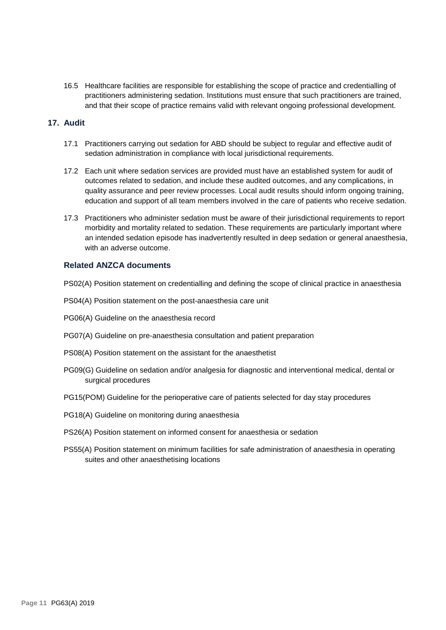16.5 Healthcare facilities are responsible for establishing the scope of practice and credentialling of practitioners administering sedation. Institutions must ensure that such practitioners are trained, and that their scope of practice remains valid with relevant ongoing professional development.

# **17. Audit**

- 17.1 Practitioners carrying out sedation for ABD should be subject to regular and effective audit of sedation administration in compliance with local jurisdictional requirements.
- 17.2 Each unit where sedation services are provided must have an established system for audit of outcomes related to sedation, and include these audited outcomes, and any complications, in quality assurance and peer review processes. Local audit results should inform ongoing training, education and support of all team members involved in the care of patients who receive sedation.
- 17.3 Practitioners who administer sedation must be aware of their jurisdictional requirements to report morbidity and mortality related to sedation. These requirements are particularly important where an intended sedation episode has inadvertently resulted in deep sedation or general anaesthesia, with an adverse outcome.

## **Related ANZCA documents**

PS02(A) Position statement on credentialling and defining the scope of clinical practice in anaesthesia

- PS04(A) Position statement on the post-anaesthesia care unit
- PG06(A) Guideline on the anaesthesia record
- PG07(A) Guideline on pre-anaesthesia consultation and patient preparation
- PS08(A) Position statement on the assistant for the anaesthetist
- PG09(G) Guideline on sedation and/or analgesia for diagnostic and interventional medical, dental or surgical procedures
- PG15(POM) Guideline for the perioperative care of patients selected for day stay procedures
- PG18(A) Guideline on monitoring during anaesthesia
- PS26(A) Position statement on informed consent for anaesthesia or sedation
- PS55(A) Position statement on minimum facilities for safe administration of anaesthesia in operating suites and other anaesthetising locations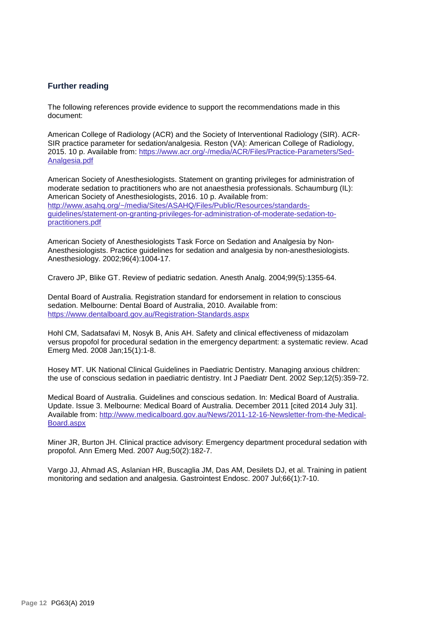## **Further reading**

The following references provide evidence to support the recommendations made in this document:

American College of Radiology (ACR) and the Society of Interventional Radiology (SIR). ACR-SIR practice parameter for sedation/analgesia. Reston (VA): American College of Radiology, 2015. 10 p. Available from: [https://www.acr.org/-/media/ACR/Files/Practice-Parameters/Sed-](https://www.acr.org/-/media/ACR/Files/Practice-Parameters/Sed-Analgesia.pdf)[Analgesia.pdf](https://www.acr.org/-/media/ACR/Files/Practice-Parameters/Sed-Analgesia.pdf)

American Society of Anesthesiologists. Statement on granting privileges for administration of moderate sedation to practitioners who are not anaesthesia professionals. Schaumburg (IL): American Society of Anesthesiologists, 2016. 10 p. Available from: [http://www.asahq.org/~/media/Sites/ASAHQ/Files/Public/Resources/standards](http://www.asahq.org/%7E/media/Sites/ASAHQ/Files/Public/Resources/standards-guidelines/statement-on-granting-privileges-for-administration-of-moderate-sedation-to-practitioners.pdf)[guidelines/statement-on-granting-privileges-for-administration-of-moderate-sedation-to](http://www.asahq.org/%7E/media/Sites/ASAHQ/Files/Public/Resources/standards-guidelines/statement-on-granting-privileges-for-administration-of-moderate-sedation-to-practitioners.pdf)[practitioners.pdf](http://www.asahq.org/%7E/media/Sites/ASAHQ/Files/Public/Resources/standards-guidelines/statement-on-granting-privileges-for-administration-of-moderate-sedation-to-practitioners.pdf)

American Society of Anesthesiologists Task Force on Sedation and Analgesia by Non-Anesthesiologists. Practice guidelines for sedation and analgesia by non-anesthesiologists. Anesthesiology. 2002;96(4):1004-17.

Cravero JP, Blike GT. Review of pediatric sedation. Anesth Analg. 2004;99(5):1355-64.

Dental Board of Australia. Registration standard for endorsement in relation to conscious sedation. Melbourne: Dental Board of Australia, 2010. Available from: <https://www.dentalboard.gov.au/Registration-Standards.aspx>

Hohl CM, Sadatsafavi M, Nosyk B, Anis AH. Safety and clinical effectiveness of midazolam versus propofol for procedural sedation in the emergency department: a systematic review. Acad Emerg Med. 2008 Jan;15(1):1-8.

Hosey MT. UK National Clinical Guidelines in Paediatric Dentistry. Managing anxious children: the use of conscious sedation in paediatric dentistry. Int J Paediatr Dent. 2002 Sep;12(5):359-72.

Medical Board of Australia. Guidelines and conscious sedation. In: Medical Board of Australia. Update. Issue 3. Melbourne: Medical Board of Australia. December 2011 [cited 2014 July 31]. Available from[: http://www.medicalboard.gov.au/News/2011-12-16-Newsletter-from-the-Medical-](http://www.medicalboard.gov.au/News/2011-12-16-Newsletter-from-the-Medical-Board.aspx)[Board.aspx](http://www.medicalboard.gov.au/News/2011-12-16-Newsletter-from-the-Medical-Board.aspx)

Miner JR, Burton JH. Clinical practice advisory: Emergency department procedural sedation with propofol. Ann Emerg Med. 2007 Aug;50(2):182-7.

Vargo JJ, Ahmad AS, Aslanian HR, Buscaglia JM, Das AM, Desilets DJ, et al. Training in patient monitoring and sedation and analgesia. Gastrointest Endosc. 2007 Jul;66(1):7-10.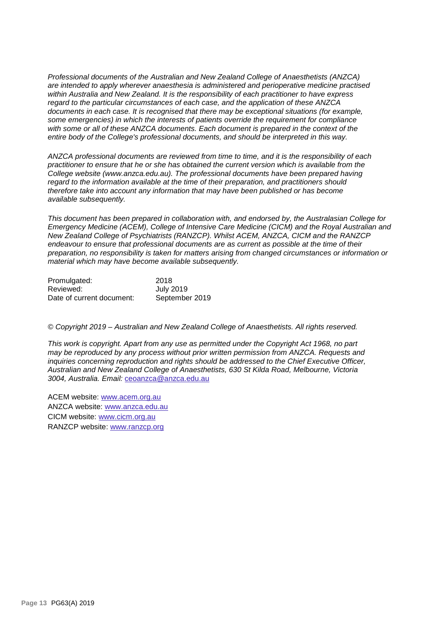*Professional documents of the Australian and New Zealand College of Anaesthetists (ANZCA) are intended to apply wherever anaesthesia is administered and perioperative medicine practised within Australia and New Zealand. It is the responsibility of each practitioner to have express regard to the particular circumstances of each case, and the application of these ANZCA documents in each case. It is recognised that there may be exceptional situations (for example, some emergencies) in which the interests of patients override the requirement for compliance with some or all of these ANZCA documents. Each document is prepared in the context of the entire body of the College's professional documents, and should be interpreted in this way.*

*ANZCA professional documents are reviewed from time to time, and it is the responsibility of each practitioner to ensure that he or she has obtained the current version which is available from the College website [\(www.anzca.edu.au\)](http://www.anzca.edu.au/). The professional documents have been prepared having regard to the information available at the time of their preparation, and practitioners should therefore take into account any information that may have been published or has become available subsequently.*

*This document has been prepared in collaboration with, and endorsed by, the Australasian College for Emergency Medicine (ACEM), College of Intensive Care Medicine (CICM) and the Royal Australian and New Zealand College of Psychiatrists (RANZCP). Whilst ACEM, ANZCA, CICM and the RANZCP endeavour to ensure that professional documents are as current as possible at the time of their preparation, no responsibility is taken for matters arising from changed circumstances or information or material which may have become available subsequently.*

| Promulgated:              | 2018           |
|---------------------------|----------------|
| Reviewed:                 | July 2019      |
| Date of current document: | September 2019 |

*© Copyright 2019 – Australian and New Zealand College of Anaesthetists. All rights reserved.*

*This work is copyright. Apart from any use as permitted under the Copyright Act 1968, no part may be reproduced by any process without prior written permission from ANZCA. Requests and inquiries concerning reproduction and rights should be addressed to the Chief Executive Officer, Australian and New Zealand College of Anaesthetists, 630 St Kilda Road, Melbourne, Victoria 3004, Australia. Email:* [ceoanzca@anzca.edu.au](mailto:ceoanzca@anzca.edu.au)

ACEM website: [www.acem.org.au](http://www.acem.org.au/) ANZCA website: [www.anzca.edu.au](http://www.anzca.edu.au/) CICM website: [www.cicm.org.au](http://www.cicm.org.au/) RANZCP website: [www.ranzcp.org](http://www.ranzcp.org/)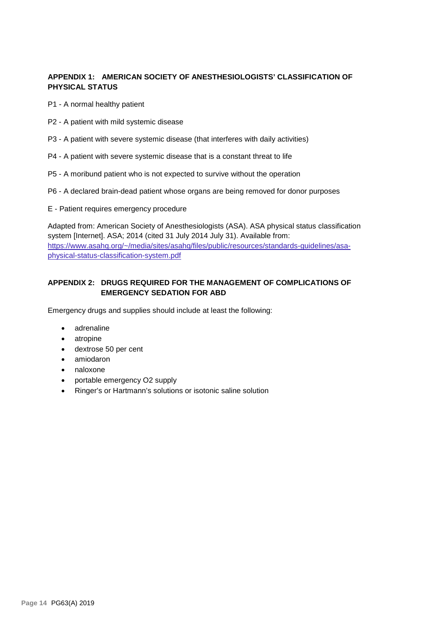# **APPENDIX 1: AMERICAN SOCIETY OF ANESTHESIOLOGISTS' CLASSIFICATION OF PHYSICAL STATUS**

P1 - A normal healthy patient

- P2 A patient with mild systemic disease
- P3 A patient with severe systemic disease (that interferes with daily activities)
- P4 A patient with severe systemic disease that is a constant threat to life
- P5 A moribund patient who is not expected to survive without the operation
- P6 A declared brain-dead patient whose organs are being removed for donor purposes
- E Patient requires emergency procedure

Adapted from: American Society of Anesthesiologists (ASA). ASA physical status classification system [Internet]. ASA; 2014 (cited 31 July 2014 July 31). Available from: [https://www.asahq.org/~/media/sites/asahq/files/public/resources/standards-guidelines/asa](https://www.asahq.org/%7E/media/sites/asahq/files/public/resources/standards-guidelines/asa-physical-status-classification-system.pdf)[physical-status-classification-system.pdf](https://www.asahq.org/%7E/media/sites/asahq/files/public/resources/standards-guidelines/asa-physical-status-classification-system.pdf)

# **APPENDIX 2: DRUGS REQUIRED FOR THE MANAGEMENT OF COMPLICATIONS OF EMERGENCY SEDATION FOR ABD**

Emergency drugs and supplies should include at least the following:

- adrenaline
- atropine
- dextrose 50 per cent
- amiodaron
- naloxone
- portable emergency O2 supply
- Ringer's or Hartmann's solutions or isotonic saline solution